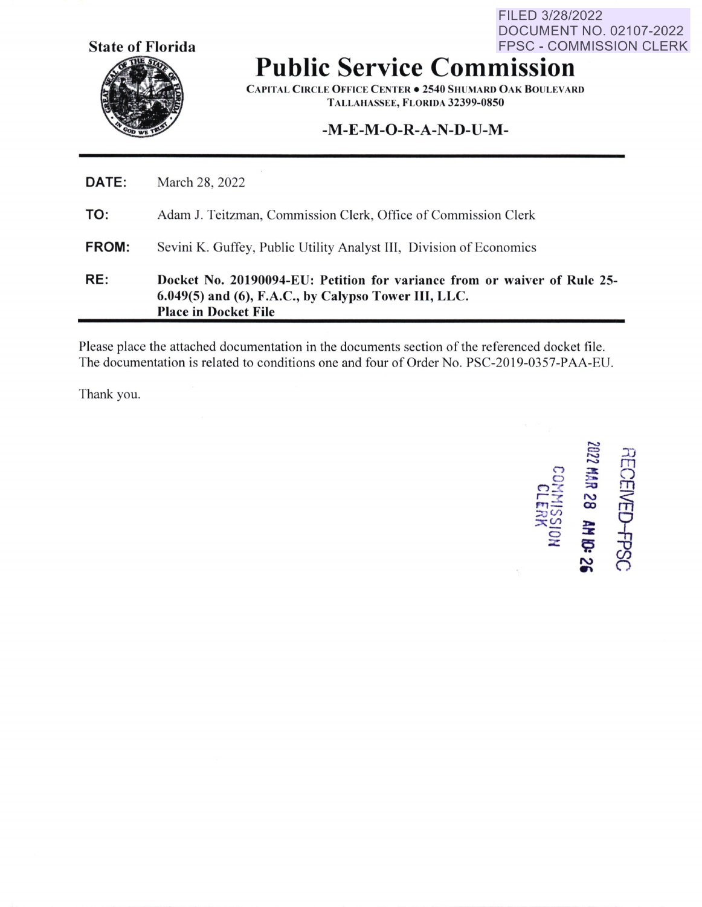**State of Florida** 

FPSC - COMMISSION CLERK **Public Service Commission** 

FILED 3/28/2022

DOCUMENT NO. 02107-2022

**CAPITAL CIRCLE OFFICE CENTER . 2540 SHUMARD OAK BOULEVARD TALLAHASSEE, FLORIDA 32399-0850** 

# **-M-E-M-O-R-A-N-D-U-M-**

| RE:   | Docket No. 20190094-EU: Petition for variance from or waiver of Rule 25-<br>6.049(5) and (6), F.A.C., by Calypso Tower III, LLC.<br><b>Place in Docket File</b> |
|-------|-----------------------------------------------------------------------------------------------------------------------------------------------------------------|
| FROM: | Sevini K. Guffey, Public Utility Analyst III, Division of Economics                                                                                             |
| TO:   | Adam J. Teitzman, Commission Clerk, Office of Commission Clerk                                                                                                  |
| DATE: | March 28, 2022                                                                                                                                                  |

Please place the attached documentation in the documents section of the referenced docket file. The documentation is related to conditions one and four of Order No. PSC-2019-0357-PAA-EU.

Thank you.

~ <sup>~</sup>= "-> <, **::Jt C) ):a, n x**<br>**c**<br>**c**<br>**c**<br>**c**<br>**c**<br>**c**<br>**c** ,,,, **• :r. :::0** (/)  $\frac{25}{5}$   $\frac{25}{5}$ **z** <sup>~</sup>  $\approx$ RE( 0 rn ED-FPSC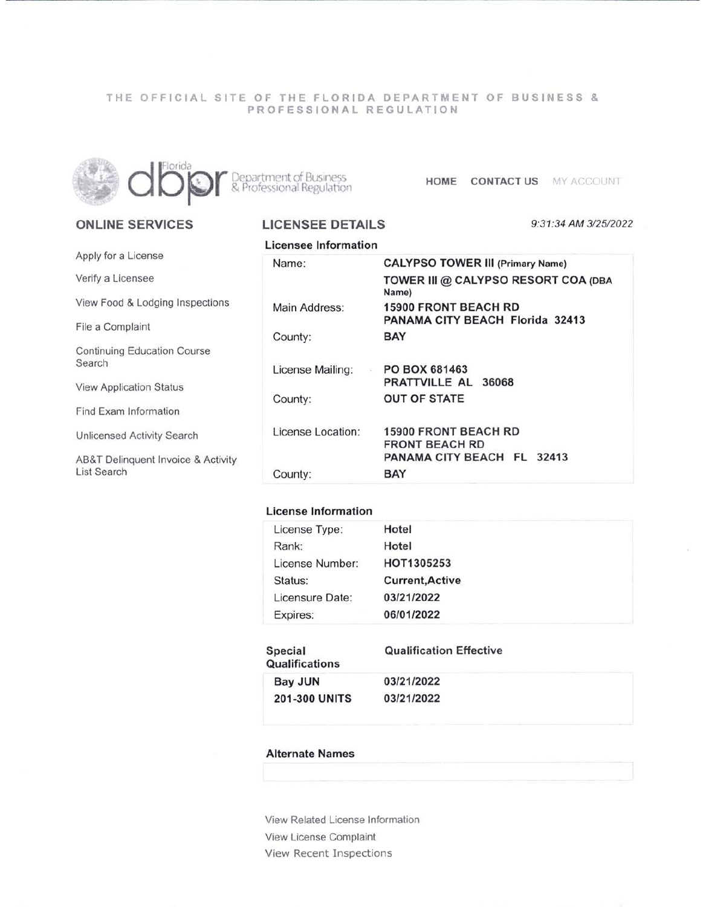## THE OFFICIAL SITE OF THE FLORIDA DEPARTMENT OF BUSINESS & PROFESSIONAL REGULATION



**ONLINE SERVICES** 

Continuing Education Course

View Application Status

Find Exam Information

Unlicensed Activity Search

Apply for a License Verify a Licensee

File a Complaint

Search

List Search

**LICENSEE DETAILS** 

**BED** ATTENT OF DUSTRESS **HOME CONTACT US** MY ACCOUNT

#### View Food & Lodging Inspections AB&T Delinquent Invoice & Activity Licensee Information 9:31:34 AM 3/25/2022 Name: Main Address: County: License Mailing: County: License Location: County: **CALYPSO TOWER** Ill **(Primary Name) TOWER** Ill @ **CALYPSO RESORT COA (OBA Name) 15900 FRONT BEACH RD PANAMA** CITY BEACH Florida 32413 BAY PO BOX 681463 PRATTVILLE AL 36068 OUT OF STATE 15900 FRONT BEACH RD FRONT BEACH RD **PANAMA** CITY BEACH FL 32413 **BAY**

# **License Information**

| License Type:   | Hotel                  |  |
|-----------------|------------------------|--|
| Rank:           | Hotel                  |  |
| License Number: | HOT1305253             |  |
| Status:         | <b>Current, Active</b> |  |
| Licensure Date: | 03/21/2022             |  |
| Expires:        | 06/01/2022             |  |

| Special<br><b>Qualifications</b> | <b>Qualification Effective</b> |  |  |
|----------------------------------|--------------------------------|--|--|
| Bay JUN                          | 03/21/2022                     |  |  |
| <b>201-300 UNITS</b>             | 03/21/2022                     |  |  |

### **Alternate Names**

View Related License Information View License Complaint View Recent Inspections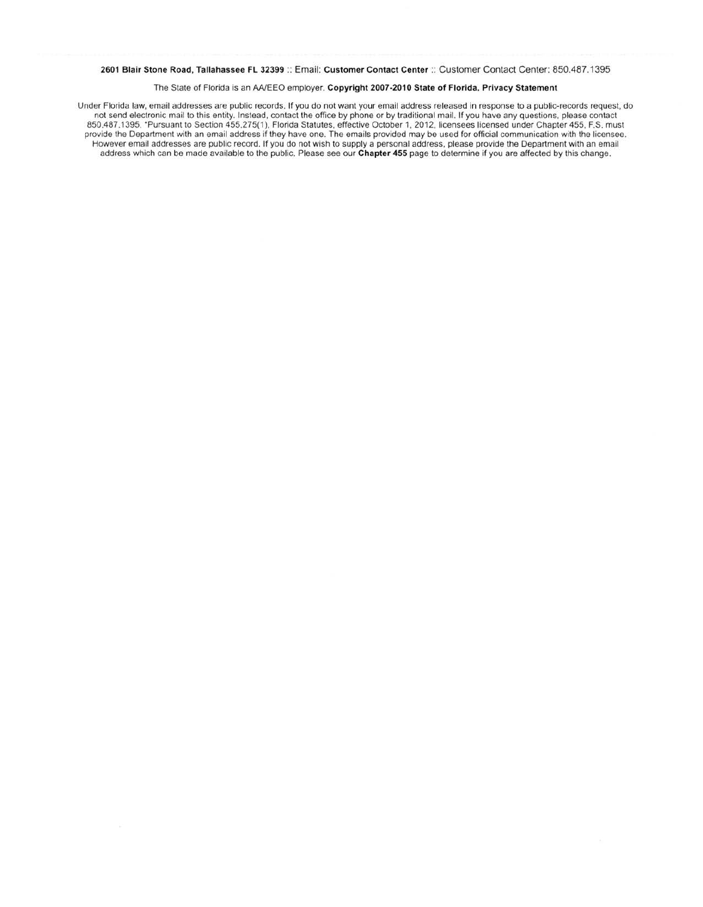#### 2601 Blair Stone Road, Tallahassee FL 32399 :: Email: Customer Contact Center :: Customer Contact Center: 850.487 .1395

#### The State of Florida is an AA/EEO employer. **Copyright 2007-2010 State of Florida. Privacy Statement**

Under Florida law, email addresses are public records. If you do not want your email address released in response to a public-records request, do not send electronic mail to this entity. Instead, contact the office by phone or by traditional mail. If you have any questions. please contact 850.487.1395. \*Pursuant to Section 455.275(1), Florida Statutes, effective October 1, 2012, licensees licensed under Chapter 455, F.S. must provide the Department with an email address if they have one. The emails provided may be used for official communication with the licensee. However email addresses are public record. If you do not wish to supply a personal address, please provide the Department with an email address which can be made available to the public. Please see our **Chapter 455** page to determine if you are affected by this change.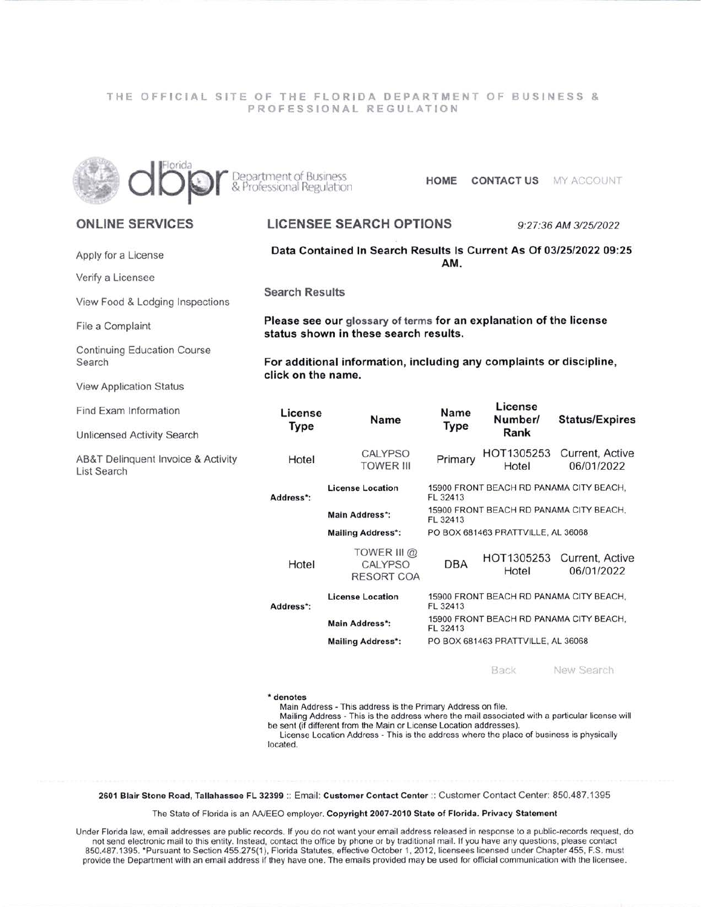## THE OFFICIAL SITE OF THE FLORIDA DEPARTMENT OF BUSINESS & PROFESSIONAL REGULATION



Department of Business<br>& Professional Regulation

**HOME CONTACT US** MY ACCOUNT

# **ONLINE SERVICES**

Apply for a License

Verify a Licensee

View Food & Lodging Inspections

File a Complaint

**Continuing Education Course** Search

**View Application Status** 

Find Exam Information

Unlicensed Activity Search

AB&T Delinquent Invoice & Activity List Search

**LICENSEE SEARCH OPTIONS** 

9:27:36 AM 3/25/2022

Data Contained In Search Results Is Current As Of 03/25/2022 09:25 AM.

**Search Results** 

Please see our glossary of terms for an explanation of the license status shown in these search results.

For additional information, including any complaints or discipline, click on the name.

| HOT1305253<br><b>CALYPSO</b><br>Primary<br>Hotel<br><b>TOWER III</b><br>06/01/2022<br>Hotel<br>15900 FRONT BEACH RD PANAMA CITY BEACH.<br><b>License Location</b><br>Address*:<br>FL 32413<br>15900 FRONT BEACH RD PANAMA CITY BEACH.<br><b>Main Address*:</b><br>FL 32413<br>PO BOX 681463 PRATTVILLE, AL 36068<br><b>Mailing Address*:</b><br>TOWER III @<br>HOT1305253<br>DBA<br>Hotel<br>CALYPSO<br>06/01/2022<br>Hotel<br>RESORT COA<br><b>License Location</b><br>15900 FRONT BEACH RD PANAMA CITY BEACH.<br>Address*:<br>FL 32413<br>15900 FRONT BEACH RD PANAMA CITY BEACH.<br><b>Main Address*:</b><br>FL 32413<br>PO BOX 681463 PRATTVILLE, AL 36068<br><b>Mailing Address*:</b> | License<br>Type | Name | Name<br>Type | License<br>Number/<br>Rank | <b>Status/Expires</b> |  |
|--------------------------------------------------------------------------------------------------------------------------------------------------------------------------------------------------------------------------------------------------------------------------------------------------------------------------------------------------------------------------------------------------------------------------------------------------------------------------------------------------------------------------------------------------------------------------------------------------------------------------------------------------------------------------------------------|-----------------|------|--------------|----------------------------|-----------------------|--|
|                                                                                                                                                                                                                                                                                                                                                                                                                                                                                                                                                                                                                                                                                            |                 |      |              |                            | Current, Active       |  |
|                                                                                                                                                                                                                                                                                                                                                                                                                                                                                                                                                                                                                                                                                            |                 |      |              |                            |                       |  |
|                                                                                                                                                                                                                                                                                                                                                                                                                                                                                                                                                                                                                                                                                            |                 |      |              |                            |                       |  |
|                                                                                                                                                                                                                                                                                                                                                                                                                                                                                                                                                                                                                                                                                            |                 |      |              |                            |                       |  |
|                                                                                                                                                                                                                                                                                                                                                                                                                                                                                                                                                                                                                                                                                            |                 |      |              |                            | Current, Active       |  |
|                                                                                                                                                                                                                                                                                                                                                                                                                                                                                                                                                                                                                                                                                            |                 |      |              |                            |                       |  |
|                                                                                                                                                                                                                                                                                                                                                                                                                                                                                                                                                                                                                                                                                            |                 |      |              |                            |                       |  |
|                                                                                                                                                                                                                                                                                                                                                                                                                                                                                                                                                                                                                                                                                            |                 |      |              |                            |                       |  |

Back New Search

#### \* denotes

Main Address - This address is the Primary Address on file.

Mailing Address - This is the address where the mail associated with a particular license will be sent (if different from the Main or License Location addresses).

License Location Address - This is the address where the place of business is physically located.

2601 Blair Stone Road, Tallahassee FL 32399 :: Email: Customer Contact Center :: Customer Contact Center: 850.487.1395

The State of Florida is an AA/EEO employer. Copyright 2007-2010 State of Florida. Privacy Statement

Under Florida law, email addresses are public records. If you do not want your email address released in response to a public-records request, do not send electronic mail to this entity. Instead, contact the office by phone or by traditional mail. If you have any questions, please contact 850.487.1395. \*Pursuant to Section 455.275(1), Florida Statutes, effective October 1, 2012, licensees licensed under Chapter 455, F.S. must provide the Department with an email address if they have one. The emails provided may be used for official communication with the licensee.